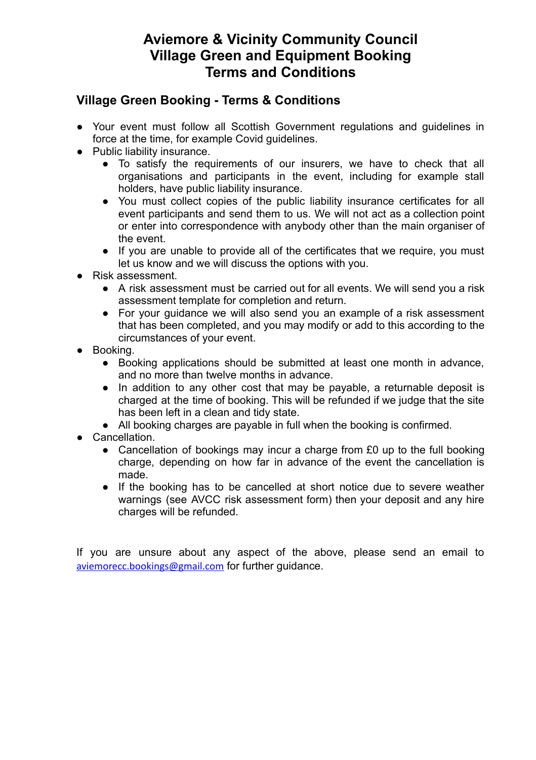# **Aviemore & Vicinity Community Council Village Green and Equipment Booking Terms and Conditions**

## **Village Green Booking - Terms & Conditions**

- Your event must follow all Scottish Government regulations and guidelines in force at the time, for example Covid guidelines.
- Public liability insurance.
	- To satisfy the requirements of our insurers, we have to check that all organisations and participants in the event, including for example stall holders, have public liability insurance.
	- You must collect copies of the public liability insurance certificates for all event participants and send them to us. We will not act as a collection point or enter into correspondence with anybody other than the main organiser of the event.
	- If you are unable to provide all of the certificates that we require, you must let us know and we will discuss the options with you.
- Risk assessment.
	- A risk assessment must be carried out for all events. We will send you a risk assessment template for completion and return.
	- For your guidance we will also send you an example of a risk assessment that has been completed, and you may modify or add to this according to the circumstances of your event.
- Booking.
	- Booking applications should be submitted at least one month in advance, and no more than twelve months in advance.
	- In addition to any other cost that may be payable, a returnable deposit is charged at the time of booking. This will be refunded if we judge that the site has been left in a clean and tidy state.
	- All booking charges are payable in full when the booking is confirmed.
- Cancellation.
	- Cancellation of bookings may incur a charge from £0 up to the full booking charge, depending on how far in advance of the event the cancellation is made.
	- If the booking has to be cancelled at short notice due to severe weather warnings (see AVCC risk assessment form) then your deposit and any hire charges will be refunded.

If you are unsure about any aspect of the above, please send an email to [aviemorecc.bookings@gmail.com](mailto:aviemorecc.bookings@gmail.com) for further guidance.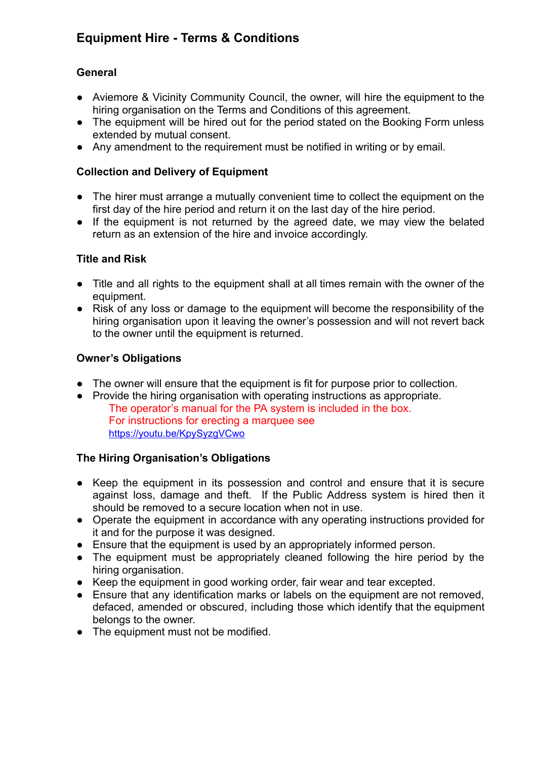## **Equipment Hire - Terms & Conditions**

## **General**

- Aviemore & Vicinity Community Council, the owner, will hire the equipment to the hiring organisation on the Terms and Conditions of this agreement.
- The equipment will be hired out for the period stated on the Booking Form unless extended by mutual consent.
- Any amendment to the requirement must be notified in writing or by email.

## **Collection and Delivery of Equipment**

- The hirer must arrange a mutually convenient time to collect the equipment on the first day of the hire period and return it on the last day of the hire period.
- If the equipment is not returned by the agreed date, we may view the belated return as an extension of the hire and invoice accordingly.

### **Title and Risk**

- Title and all rights to the equipment shall at all times remain with the owner of the equipment.
- Risk of any loss or damage to the equipment will become the responsibility of the hiring organisation upon it leaving the owner's possession and will not revert back to the owner until the equipment is returned.

## **Owner's Obligations**

- The owner will ensure that the equipment is fit for purpose prior to collection.
- Provide the hiring organisation with operating instructions as appropriate. The operator's manual for the PA system is included in the box. For instructions for erecting a marquee see <https://youtu.be/KpySyzgVCwo>

### **The Hiring Organisation's Obligations**

- *●* Keep the equipment in its possession and control and ensure that it is secure against loss, damage and theft. If the Public Address system is hired then it should be removed to a secure location when not in use.
- *●* Operate the equipment in accordance with any operating instructions provided for it and for the purpose it was designed.
- Ensure that the equipment is used by an appropriately informed person.
- The equipment must be appropriately cleaned following the hire period by the hiring organisation.
- Keep the equipment in good working order, fair wear and tear excepted.
- Ensure that any identification marks or labels on the equipment are not removed, defaced, amended or obscured, including those which identify that the equipment belongs to the owner.
- The equipment must not be modified.